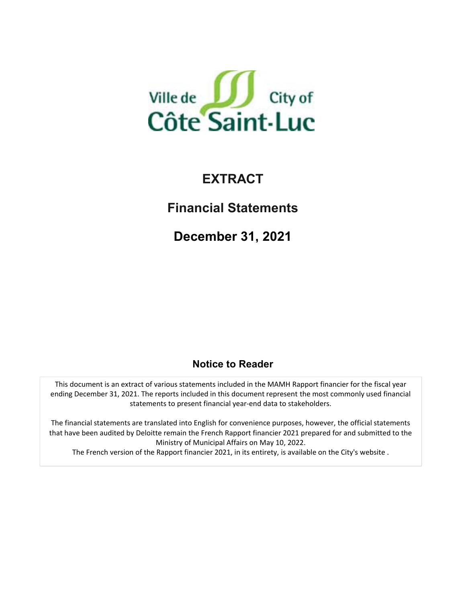

# **EXTRACT**

**Financial Statements**

**December 31, 2021**

## **Notice to Reader**

This document is an extract of various statements included in the MAMH Rapport financier for the fiscal year ending December 31, 2021. The reports included in this document represent the most commonly used financial statements to present financial year‐end data to stakeholders.

The financial statements are translated into English for convenience purposes, however, the official statements that have been audited by Deloitte remain the French Rapport financier 2021 prepared for and submitted to the Ministry of Municipal Affairs on May 10, 2022. The French version of the Rapport financier 2021, in its entirety, is available on the City's website .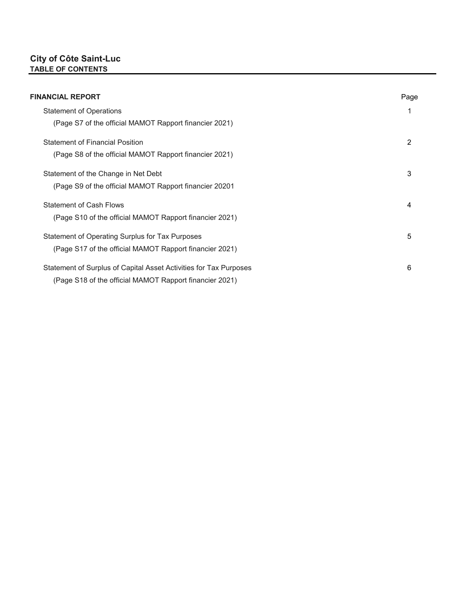#### **City of Côte Saint-Luc TABLE OF CONTENTS**

| <b>FINANCIAL REPORT</b>                                           | Page |
|-------------------------------------------------------------------|------|
| <b>Statement of Operations</b>                                    |      |
| (Page S7 of the official MAMOT Rapport financier 2021)            |      |
| <b>Statement of Financial Position</b>                            | 2    |
| (Page S8 of the official MAMOT Rapport financier 2021)            |      |
| Statement of the Change in Net Debt                               | 3    |
| (Page S9 of the official MAMOT Rapport financier 20201            |      |
| <b>Statement of Cash Flows</b>                                    | 4    |
| (Page S10 of the official MAMOT Rapport financier 2021)           |      |
| Statement of Operating Surplus for Tax Purposes                   | 5    |
| (Page S17 of the official MAMOT Rapport financier 2021)           |      |
| Statement of Surplus of Capital Asset Activities for Tax Purposes | 6    |
| (Page S18 of the official MAMOT Rapport financier 2021)           |      |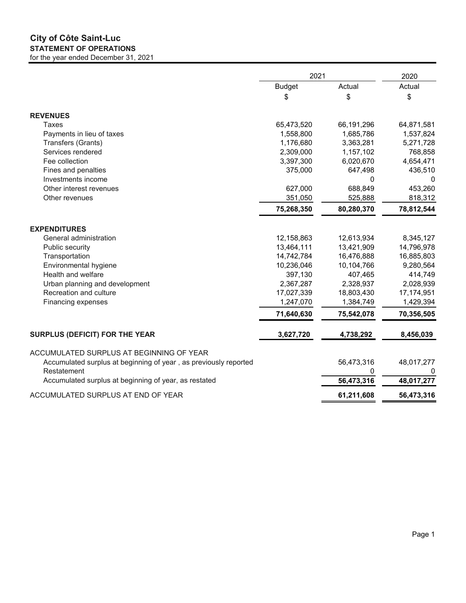#### **City of Côte Saint-Luc STATEMENT OF OPERATIONS** for the year ended December 31, 2021

|                                                                  | 2021          |            | 2020       |  |
|------------------------------------------------------------------|---------------|------------|------------|--|
|                                                                  | <b>Budget</b> | Actual     | Actual     |  |
|                                                                  | \$            | \$         | \$         |  |
| <b>REVENUES</b>                                                  |               |            |            |  |
| <b>Taxes</b>                                                     | 65,473,520    | 66,191,296 | 64,871,581 |  |
| Payments in lieu of taxes                                        | 1,558,800     | 1,685,786  | 1,537,824  |  |
| Transfers (Grants)                                               | 1,176,680     | 3,363,281  | 5,271,728  |  |
| Services rendered                                                | 2,309,000     | 1,157,102  | 768,858    |  |
| Fee collection                                                   | 3,397,300     | 6,020,670  | 4,654,471  |  |
| Fines and penalties                                              | 375,000       | 647,498    | 436,510    |  |
| Investments income                                               |               | 0          | 0          |  |
| Other interest revenues                                          | 627,000       | 688,849    | 453,260    |  |
| Other revenues                                                   | 351,050       | 525,888    | 818,312    |  |
|                                                                  | 75,268,350    | 80,280,370 | 78,812,544 |  |
| <b>EXPENDITURES</b>                                              |               |            |            |  |
| General administration                                           | 12,158,863    | 12,613,934 | 8,345,127  |  |
| Public security                                                  | 13,464,111    | 13,421,909 | 14,796,978 |  |
| Transportation                                                   | 14,742,784    | 16,476,888 | 16,885,803 |  |
| Environmental hygiene                                            | 10,236,046    | 10,104,766 | 9,280,564  |  |
| Health and welfare                                               | 397,130       | 407,465    | 414,749    |  |
| Urban planning and development                                   | 2,367,287     | 2,328,937  | 2,028,939  |  |
| Recreation and culture                                           | 17,027,339    | 18,803,430 | 17,174,951 |  |
| Financing expenses                                               | 1,247,070     | 1,384,749  | 1,429,394  |  |
|                                                                  | 71,640,630    | 75,542,078 | 70,356,505 |  |
| <b>SURPLUS (DEFICIT) FOR THE YEAR</b>                            | 3,627,720     | 4,738,292  | 8,456,039  |  |
|                                                                  |               |            |            |  |
| ACCUMULATED SURPLUS AT BEGINNING OF YEAR                         |               |            |            |  |
| Accumulated surplus at beginning of year, as previously reported |               | 56,473,316 | 48,017,277 |  |
| Restatement                                                      |               | 0          | 0          |  |
| Accumulated surplus at beginning of year, as restated            |               | 56,473,316 | 48,017,277 |  |
| ACCUMULATED SURPLUS AT END OF YEAR                               |               | 61,211,608 | 56,473,316 |  |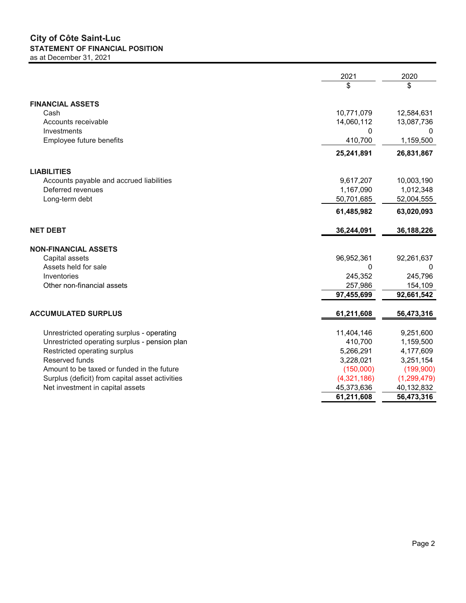#### **City of Côte Saint-Luc STATEMENT OF FINANCIAL POSITION** as at December 31, 2021

|                                                 | 2021        | 2020          |
|-------------------------------------------------|-------------|---------------|
|                                                 | \$          | \$            |
| <b>FINANCIAL ASSETS</b>                         |             |               |
| Cash                                            | 10,771,079  | 12,584,631    |
| Accounts receivable                             | 14,060,112  | 13,087,736    |
| Investments                                     | 0           | 0             |
| Employee future benefits                        | 410,700     | 1,159,500     |
|                                                 |             |               |
|                                                 | 25,241,891  | 26,831,867    |
| <b>LIABILITIES</b>                              |             |               |
| Accounts payable and accrued liabilities        | 9,617,207   | 10,003,190    |
| Deferred revenues                               | 1,167,090   | 1,012,348     |
| Long-term debt                                  | 50,701,685  | 52,004,555    |
|                                                 | 61,485,982  | 63,020,093    |
| <b>NET DEBT</b>                                 | 36,244,091  | 36,188,226    |
|                                                 |             |               |
| <b>NON-FINANCIAL ASSETS</b>                     |             |               |
| Capital assets                                  | 96,952,361  | 92,261,637    |
| Assets held for sale                            | 0           | $\Omega$      |
| Inventories                                     | 245,352     | 245,796       |
| Other non-financial assets                      | 257,986     | 154,109       |
|                                                 | 97,455,699  | 92,661,542    |
| <b>ACCUMULATED SURPLUS</b>                      | 61,211,608  | 56,473,316    |
|                                                 |             |               |
| Unrestricted operating surplus - operating      | 11,404,146  | 9,251,600     |
| Unrestricted operating surplus - pension plan   | 410,700     | 1,159,500     |
| Restricted operating surplus                    | 5,266,291   | 4,177,609     |
| Reserved funds                                  | 3,228,021   | 3,251,154     |
| Amount to be taxed or funded in the future      | (150,000)   | (199,900)     |
| Surplus (deficit) from capital asset activities | (4,321,186) | (1, 299, 479) |
| Net investment in capital assets                | 45,373,636  | 40,132,832    |
|                                                 | 61,211,608  | 56,473,316    |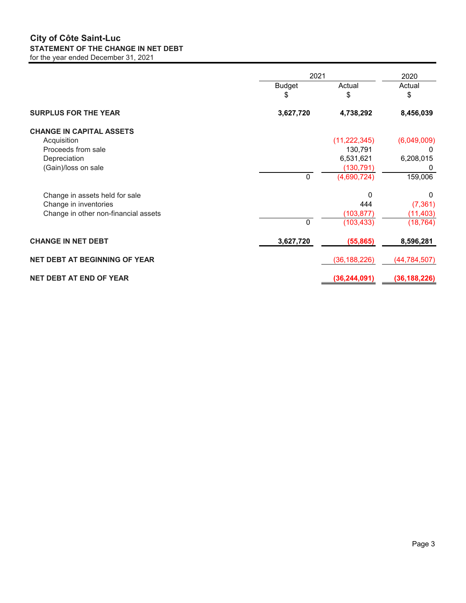#### **City of Côte Saint-Luc STATEMENT OF THE CHANGE IN NET DEBT** for the year ended December 31, 2021

|                                      | 2021                |                | 2020           |
|--------------------------------------|---------------------|----------------|----------------|
|                                      | <b>Budget</b><br>\$ | Actual<br>\$   | Actual<br>\$   |
| <b>SURPLUS FOR THE YEAR</b>          | 3,627,720           | 4,738,292      | 8,456,039      |
| <b>CHANGE IN CAPITAL ASSETS</b>      |                     |                |                |
| Acquisition                          |                     | (11, 222, 345) | (6,049,009)    |
| Proceeds from sale                   |                     | 130,791        | 0              |
| Depreciation                         |                     | 6,531,621      | 6,208,015      |
| (Gain)/loss on sale                  |                     | (130, 791)     | 0              |
|                                      | 0                   | (4,690,724)    | 159,006        |
| Change in assets held for sale       |                     | 0              | $\Omega$       |
| Change in inventories                |                     | 444            | (7, 361)       |
| Change in other non-financial assets |                     | (103, 877)     | (11, 403)      |
|                                      | 0                   | (103, 433)     | (18, 764)      |
| <b>CHANGE IN NET DEBT</b>            | 3,627,720           | (55, 865)      | 8,596,281      |
| <b>NET DEBT AT BEGINNING OF YEAR</b> |                     | (36, 188, 226) | (44, 784, 507) |
| <b>NET DEBT AT END OF YEAR</b>       |                     | (36, 244, 091) | (36, 188, 226) |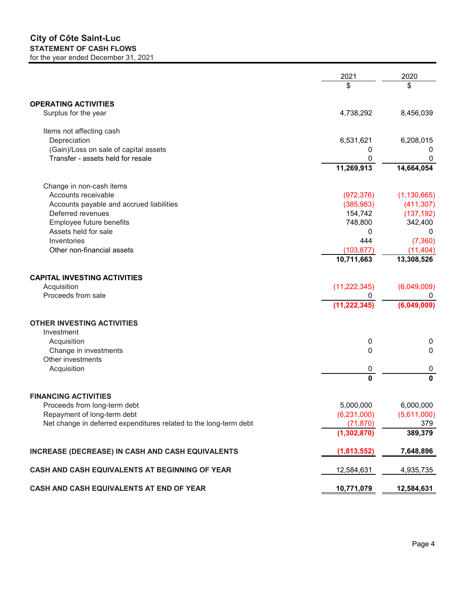#### **City of Côte Saint-Luc STATEMENT OF CASH FLOWS** for the year ended December 31, 2021

|                                                                   | 2021           | 2020             |
|-------------------------------------------------------------------|----------------|------------------|
|                                                                   | \$             | \$               |
| <b>OPERATING ACTIVITIES</b>                                       |                |                  |
| Surplus for the year                                              | 4,738,292      | 8,456,039        |
| Items not affecting cash                                          |                |                  |
| Depreciation                                                      | 6,531,621      | 6,208,015        |
| (Gain)/Loss on sale of capital assets                             | 0              | 0                |
| Transfer - assets held for resale                                 | 0              | 0                |
|                                                                   | 11,269,913     | 14,664,054       |
| Change in non-cash items                                          |                |                  |
| Accounts receivable                                               | (972, 376)     | (1, 130, 665)    |
| Accounts payable and accrued liabilities                          | (385, 983)     | (411, 307)       |
| Deferred revenues                                                 | 154,742        | (137, 192)       |
| Employee future benefits                                          | 748,800        | 342,400          |
| Assets held for sale                                              | 0              | 0                |
| Inventories                                                       | 444            | (7, 360)         |
| Other non-financial assets                                        | (103, 877)     | (11, 404)        |
|                                                                   | 10,711,663     | 13,308,526       |
| <b>CAPITAL INVESTING ACTIVITIES</b>                               |                |                  |
| Acquisition                                                       | (11, 222, 345) | (6,049,009)      |
| Proceeds from sale                                                | 0              | 0                |
|                                                                   | (11, 222, 345) | (6,049,009)      |
| <b>OTHER INVESTING ACTIVITIES</b>                                 |                |                  |
| Investment                                                        |                |                  |
| Acquisition                                                       | 0              | $\boldsymbol{0}$ |
| Change in investments                                             | 0              | 0                |
| Other investments                                                 |                |                  |
| Acquisition                                                       | 0              | 0                |
|                                                                   | 0              | 0                |
| <b>FINANCING ACTIVITIES</b>                                       |                |                  |
| Proceeds from long-term debt                                      | 5,000,000      | 6,000,000        |
| Repayment of long-term debt                                       | (6, 231, 000)  | (5,611,000)      |
| Net change in deferred expenditures related to the long-term debt | (71, 870)      | 379              |
|                                                                   | (1, 302, 870)  | 389,379          |
| INCREASE (DECREASE) IN CASH AND CASH EQUIVALENTS                  | (1,813,552)    | 7,648,896        |
| CASH AND CASH EQUIVALENTS AT BEGINNING OF YEAR                    | 12,584,631     | 4,935,735        |
| CASH AND CASH EQUIVALENTS AT END OF YEAR                          | 10,771,079     | 12,584,631       |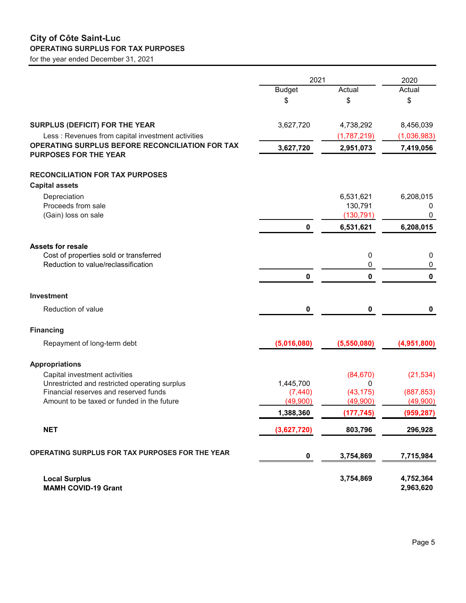#### **City of Côte Saint-Luc OPERATING SURPLUS FOR TAX PURPOSES**

for the year ended December 31, 2021

|                                                                                        | 2021                 |                       | 2020                   |  |
|----------------------------------------------------------------------------------------|----------------------|-----------------------|------------------------|--|
|                                                                                        | <b>Budget</b>        | Actual                | Actual                 |  |
|                                                                                        | \$                   | \$                    | \$                     |  |
| SURPLUS (DEFICIT) FOR THE YEAR                                                         | 3,627,720            | 4,738,292             | 8,456,039              |  |
| Less: Revenues from capital investment activities                                      |                      | (1,787,219)           | (1,036,983)            |  |
| OPERATING SURPLUS BEFORE RECONCILIATION FOR TAX<br><b>PURPOSES FOR THE YEAR</b>        | 3,627,720            | 2,951,073             | 7,419,056              |  |
| <b>RECONCILIATION FOR TAX PURPOSES</b>                                                 |                      |                       |                        |  |
| <b>Capital assets</b>                                                                  |                      |                       |                        |  |
| Depreciation                                                                           |                      | 6,531,621             | 6,208,015              |  |
| Proceeds from sale<br>(Gain) loss on sale                                              |                      | 130,791<br>(130, 791) | 0                      |  |
|                                                                                        | $\pmb{0}$            | 6,531,621             | 6,208,015              |  |
|                                                                                        |                      |                       |                        |  |
| <b>Assets for resale</b>                                                               |                      |                       |                        |  |
| Cost of properties sold or transferred<br>Reduction to value/reclassification          |                      | 0<br>0                | 0<br>$\pmb{0}$         |  |
|                                                                                        | 0                    | 0                     | $\mathbf{0}$           |  |
|                                                                                        |                      |                       |                        |  |
| <b>Investment</b>                                                                      |                      |                       |                        |  |
| Reduction of value                                                                     | 0                    | $\pmb{0}$             | $\mathbf 0$            |  |
| <b>Financing</b>                                                                       |                      |                       |                        |  |
| Repayment of long-term debt                                                            | (5,016,080)          | (5,550,080)           | (4,951,800)            |  |
| <b>Appropriations</b>                                                                  |                      |                       |                        |  |
| Capital investment activities                                                          |                      | (84, 670)             | (21, 534)              |  |
| Unrestricted and restricted operating surplus<br>Financial reserves and reserved funds | 1,445,700            | 0                     |                        |  |
| Amount to be taxed or funded in the future                                             | (7, 440)<br>(49,900) | (43, 175)<br>(49,900) | (887, 853)<br>(49,900) |  |
|                                                                                        | 1,388,360            | (177, 745)            | (959, 287)             |  |
| <b>NET</b>                                                                             | (3,627,720)          | 803,796               | 296,928                |  |
| OPERATING SURPLUS FOR TAX PURPOSES FOR THE YEAR                                        |                      |                       |                        |  |
|                                                                                        | 0                    | 3,754,869             | 7,715,984              |  |
| <b>Local Surplus</b><br><b>MAMH COVID-19 Grant</b>                                     |                      | 3,754,869             | 4,752,364<br>2,963,620 |  |